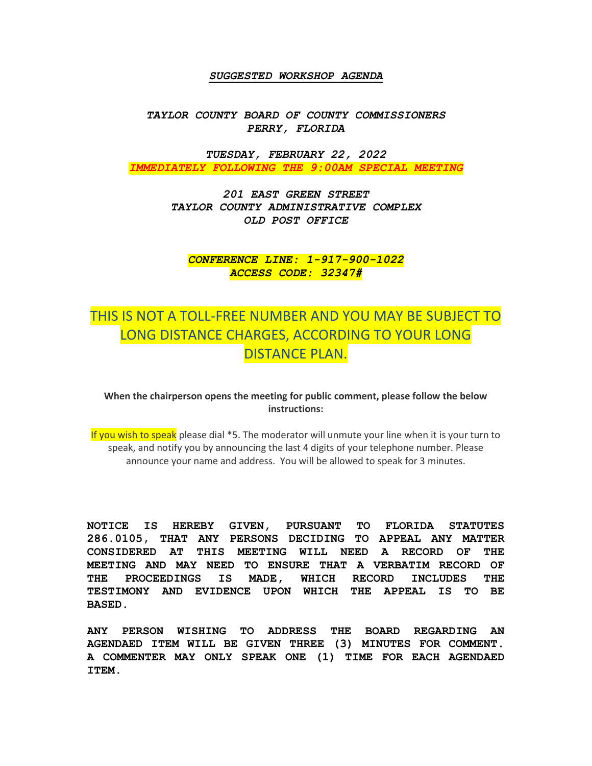## *SUGGESTED WORKSHOP AGENDA*

*TAYLOR COUNTY BOARD OF COUNTY COMMISSIONERS PERRY, FLORIDA*

*TUESDAY, FEBRUARY 22, 2022 IMMEDIATELY FOLLOWING THE 9:00AM SPECIAL MEETING*

> *201 EAST GREEN STREET TAYLOR COUNTY ADMINISTRATIVE COMPLEX OLD POST OFFICE*

*CONFERENCE LINE: 1-917-900-1022 ACCESS CODE: 32347#*

## THIS IS NOT A TOLL-FREE NUMBER AND YOU MAY BE SUBJECT TO LONG DISTANCE CHARGES, ACCORDING TO YOUR LONG DISTANCE PLAN.

## **When the chairperson opens the meeting for public comment, please follow the below instructions:**

If you wish to speak please dial \*5. The moderator will unmute your line when it is your turn to speak, and notify you by announcing the last 4 digits of your telephone number. Please announce your name and address. You will be allowed to speak for 3 minutes.

**NOTICE IS HEREBY GIVEN, PURSUANT TO FLORIDA STATUTES 286.0105, THAT ANY PERSONS DECIDING TO APPEAL ANY MATTER CONSIDERED AT THIS MEETING WILL NEED A RECORD OF THE MEETING AND MAY NEED TO ENSURE THAT A VERBATIM RECORD OF THE PROCEEDINGS IS MADE, WHICH RECORD INCLUDES THE TESTIMONY AND EVIDENCE UPON WHICH THE APPEAL IS TO BE BASED.**

**ANY PERSON WISHING TO ADDRESS THE BOARD REGARDING AN AGENDAED ITEM WILL BE GIVEN THREE (3) MINUTES FOR COMMENT. A COMMENTER MAY ONLY SPEAK ONE (1) TIME FOR EACH AGENDAED ITEM.**